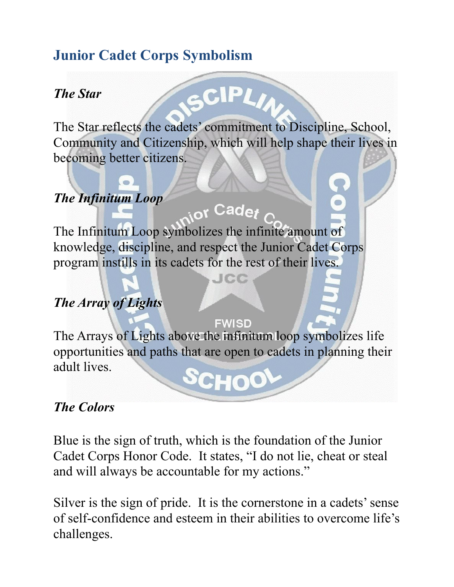# **Junior Cadet Corps Symbolism**

#### *The Star*

The Star reflects the cadets' commitment to Discipline, School, Community and Citizenship, which will help shape their lives in becoming better citizens.

<sub>i o</sub>r Cadet

<u>Jiele</u>

 $\mathsf{CIPI}$ 

## *The Infinitum Loop*

The Infinitum Loop symbolizes the infinite amount of knowledge, discipline, and respect the Junior Cadet Corps program instills in its cadets for the rest of their lives.

### *The Array of Lights*

**FWISD** The Arrays of Lights above the infinitum loop symbolizes life opportunities and paths that are open to cadets in planning their adult lives.

#### *The Colors*

Blue is the sign of truth, which is the foundation of the Junior Cadet Corps Honor Code. It states, "I do not lie, cheat or steal and will always be accountable for my actions."

Silver is the sign of pride. It is the cornerstone in a cadets' sense of self-confidence and esteem in their abilities to overcome life's challenges.